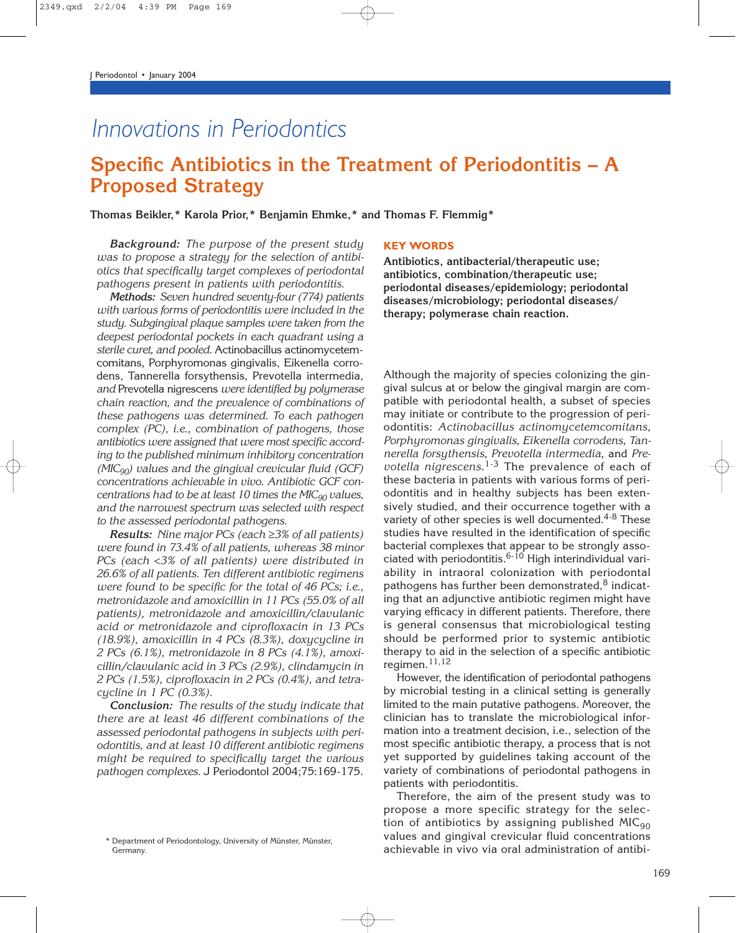# *Innovations in Periodontics*

## **Specific Antibiotics in the Treatment of Periodontitis – A Proposed Strategy**

**Thomas Beikler,\* Karola Prior,\* Benjamin Ehmke,\* and Thomas F. Flemmig\***

*Background: The purpose of the present study was to propose a strategy for the selection of antibiotics that specifically target complexes of periodontal pathogens present in patients with periodontitis.*

*Methods: Seven hundred seventy-four (774) patients with various forms of periodontitis were included in the study. Subgingival plaque samples were taken from the deepest periodontal pockets in each quadrant using a sterile curet, and pooled.* Actinobacillus actinomycetemcomitans, Porphyromonas gingivalis, Eikenella corrodens, Tannerella forsythensis, Prevotella intermedia, *and* Prevotella nigrescens *were identified by polymerase chain reaction, and the prevalence of combinations of these pathogens was determined. To each pathogen complex (PC), i.e., combination of pathogens, those antibiotics were assigned that were most specific according to the published minimum inhibitory concentration (MIC90) values and the gingival crevicular fluid (GCF) concentrations achievable in vivo. Antibiotic GCF concentrations had to be at least 10 times the MIC90 values, and the narrowest spectrum was selected with respect to the assessed periodontal pathogens.*

*Results: Nine major PCs (each* ≥*3% of all patients) were found in 73.4% of all patients, whereas 38 minor PCs (each* <*3% of all patients) were distributed in 26.6% of all patients. Ten different antibiotic regimens were found to be specific for the total of 46 PCs; i.e., metronidazole and amoxicillin in 11 PCs (55.0% of all patients), metronidazole and amoxicillin/clavulanic acid or metronidazole and ciprofloxacin in 13 PCs (18.9%), amoxicillin in 4 PCs (8.3%), doxycycline in 2 PCs (6.1%), metronidazole in 8 PCs (4.1%), amoxicillin/clavulanic acid in 3 PCs (2.9%), clindamycin in 2 PCs (1.5%), ciprofloxacin in 2 PCs (0.4%), and tetracycline in 1 PC (0.3%).*

*Conclusion: The results of the study indicate that there are at least 46 different combinations of the assessed periodontal pathogens in subjects with periodontitis, and at least 10 different antibiotic regimens might be required to specifically target the various pathogen complexes.* J Periodontol 2004;75:169-175.

#### **KEY WORDS**

**Antibiotics, antibacterial/therapeutic use; antibiotics, combination/therapeutic use; periodontal diseases/epidemiology; periodontal diseases/microbiology; periodontal diseases/ therapy; polymerase chain reaction.**

Although the majority of species colonizing the gingival sulcus at or below the gingival margin are compatible with periodontal health, a subset of species may initiate or contribute to the progression of periodontitis: *Actinobacillus actinomycetemcomitans, Porphyromonas gingivalis, Eikenella corrodens, Tannerella forsythensis, Prevotella intermedia*, and *Prevotella nigrescens*. 1-3 The prevalence of each of these bacteria in patients with various forms of periodontitis and in healthy subjects has been extensively studied, and their occurrence together with a variety of other species is well documented. $4-8$  These studies have resulted in the identification of specific bacterial complexes that appear to be strongly associated with periodontitis.<sup>6-10</sup> High interindividual variability in intraoral colonization with periodontal pathogens has further been demonstrated, $8$  indicating that an adjunctive antibiotic regimen might have varying efficacy in different patients. Therefore, there is general consensus that microbiological testing should be performed prior to systemic antibiotic therapy to aid in the selection of a specific antibiotic regimen.11,12

However, the identification of periodontal pathogens by microbial testing in a clinical setting is generally limited to the main putative pathogens. Moreover, the clinician has to translate the microbiological information into a treatment decision, i.e., selection of the most specific antibiotic therapy, a process that is not yet supported by guidelines taking account of the variety of combinations of periodontal pathogens in patients with periodontitis.

Therefore, the aim of the present study was to propose a more specific strategy for the selection of antibiotics by assigning published  $MIC<sub>90</sub>$ values and gingival crevicular fluid concentrations achievable in vivo via oral administration of antibi-

<sup>\*</sup> Department of Periodontology, University of Münster, Münster, Germany.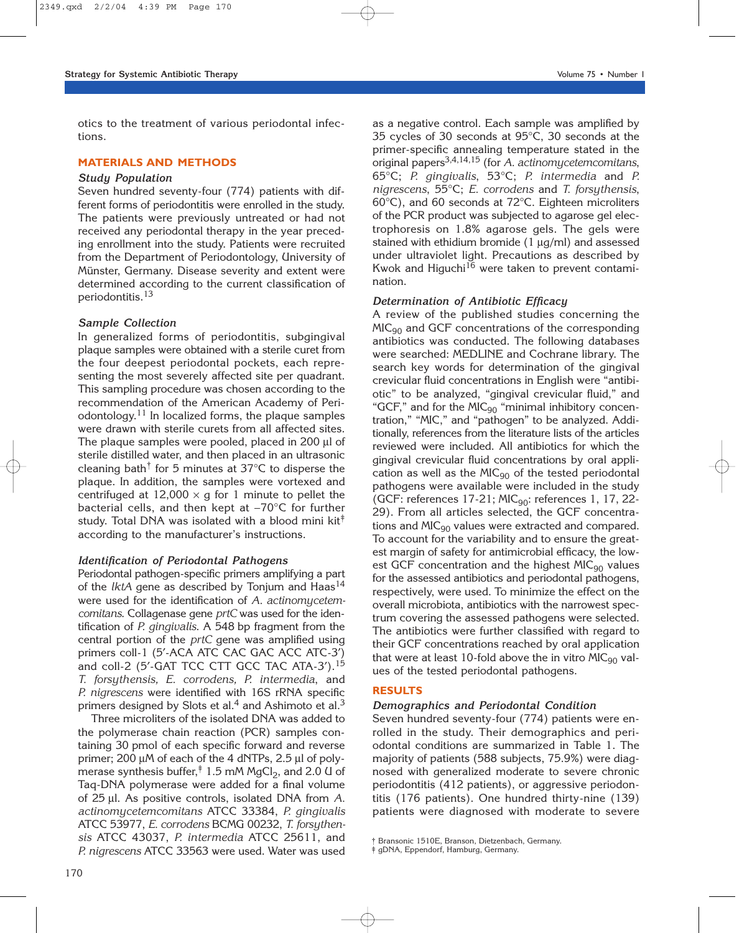otics to the treatment of various periodontal infections.

### **MATERIALS AND METHODS**

## *Study Population*

Seven hundred seventy-four (774) patients with different forms of periodontitis were enrolled in the study. The patients were previously untreated or had not received any periodontal therapy in the year preceding enrollment into the study. Patients were recruited from the Department of Periodontology, University of Münster, Germany. Disease severity and extent were determined according to the current classification of periodontitis.13

## *Sample Collection*

In generalized forms of periodontitis, subgingival plaque samples were obtained with a sterile curet from the four deepest periodontal pockets, each representing the most severely affected site per quadrant. This sampling procedure was chosen according to the recommendation of the American Academy of Periodontology. $11$  In localized forms, the plaque samples were drawn with sterile curets from all affected sites. The plaque samples were pooled, placed in 200 µl of sterile distilled water, and then placed in an ultrasonic cleaning bath<sup> $\dagger$ </sup> for 5 minutes at 37 $\degree$ C to disperse the plaque. In addition, the samples were vortexed and centrifuged at  $12,000 \times g$  for 1 minute to pellet the bacterial cells, and then kept at −70°C for further study. Total DNA was isolated with a blood mini kit<sup> $\dagger$ </sup> according to the manufacturer's instructions.

## *Identification of Periodontal Pathogens*

Periodontal pathogen-specific primers amplifying a part of the *lktA* gene as described by Tonjum and Haas<sup>14</sup> were used for the identification of *A. actinomycetemcomitans*. Collagenase gene *prtC* was used for the identification of *P. gingivalis*. A 548 bp fragment from the central portion of the *prtC* gene was amplified using primers coll-1 (5′-ACA ATC CAC GAC ACC ATC-3′) and coll-2 (5'-GAT TCC CTT GCC TAC ATA-3').<sup>15</sup> *T. forsythensis, E. corrodens, P. intermedia*, and *P. nigrescens* were identified with 16S rRNA specific primers designed by Slots et al.<sup>4</sup> and Ashimoto et al.<sup>3</sup>

Three microliters of the isolated DNA was added to the polymerase chain reaction (PCR) samples containing 30 pmol of each specific forward and reverse primer; 200 µM of each of the 4 dNTPs, 2.5 µl of polymerase synthesis buffer, $\dagger$  1.5 mM MgCl<sub>2</sub>, and 2.0 U of Taq-DNA polymerase were added for a final volume of 25 µl. As positive controls, isolated DNA from *A. actinomycetemcomitans* ATCC 33384, *P. gingivalis* ATCC 53977, *E. corrodens* BCMG 00232, *T. forsythensis* ATCC 43037, *P. intermedia* ATCC 25611, and *P. nigrescens* ATCC 33563 were used. Water was used as a negative control. Each sample was amplified by 35 cycles of 30 seconds at 95°C, 30 seconds at the primer-specific annealing temperature stated in the original papers3,4,14,15 (for *A. actinomycetemcomitans*, 65°C; *P. gingivalis*, 53°C; *P. intermedia* and *P. nigrescens*, 55°C; *E. corrodens* and *T. forsythensis*, 60°C), and 60 seconds at 72°C. Eighteen microliters of the PCR product was subjected to agarose gel electrophoresis on 1.8% agarose gels. The gels were stained with ethidium bromide  $(1 \mu q/ml)$  and assessed under ultraviolet light. Precautions as described by Kwok and Higuchi $16$  were taken to prevent contamination.

## *Determination of Antibiotic Efficacy*

A review of the published studies concerning the  $MIC<sub>90</sub>$  and GCF concentrations of the corresponding antibiotics was conducted. The following databases were searched: MEDLINE and Cochrane library. The search key words for determination of the gingival crevicular fluid concentrations in English were "antibiotic" to be analyzed, "gingival crevicular fluid," and "GCF," and for the  $MIC<sub>90</sub>$  "minimal inhibitory concentration," "MIC," and "pathogen" to be analyzed. Additionally, references from the literature lists of the articles reviewed were included. All antibiotics for which the gingival crevicular fluid concentrations by oral application as well as the  $MIC<sub>90</sub>$  of the tested periodontal pathogens were available were included in the study (GCF: references  $17-21$ ; MIC<sub>90</sub>: references 1, 17, 22-29). From all articles selected, the GCF concentrations and  $MIC<sub>90</sub>$  values were extracted and compared. To account for the variability and to ensure the greatest margin of safety for antimicrobial efficacy, the lowest GCF concentration and the highest  $MIC_{90}$  values for the assessed antibiotics and periodontal pathogens, respectively, were used. To minimize the effect on the overall microbiota, antibiotics with the narrowest spectrum covering the assessed pathogens were selected. The antibiotics were further classified with regard to their GCF concentrations reached by oral application that were at least 10-fold above the in vitro  $MIC_{90}$  values of the tested periodontal pathogens.

### **RESULTS**

## *Demographics and Periodontal Condition*

Seven hundred seventy-four (774) patients were enrolled in the study. Their demographics and periodontal conditions are summarized in Table 1. The majority of patients (588 subjects, 75.9%) were diagnosed with generalized moderate to severe chronic periodontitis (412 patients), or aggressive periodontitis (176 patients). One hundred thirty-nine (139) patients were diagnosed with moderate to severe

<sup>†</sup> Bransonic 1510E, Branson, Dietzenbach, Germany.

<sup>‡</sup> gDNA, Eppendorf, Hamburg, Germany.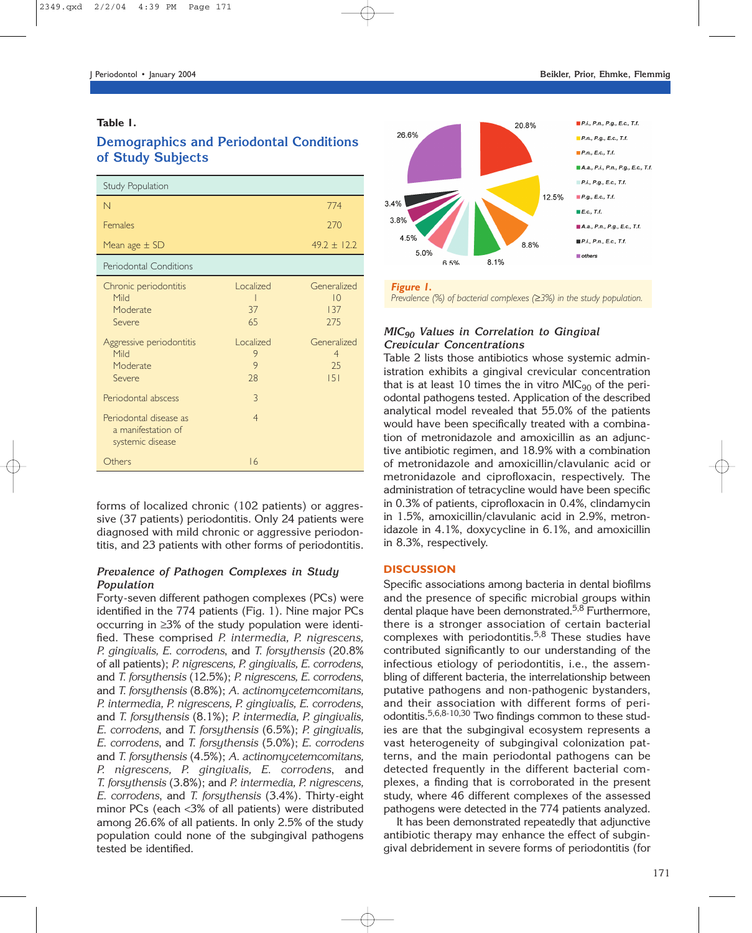## **Table 1.**

## **Demographics and Periodontal Conditions of Study Subjects**

| <b>Study Population</b>                                          |                           |                                           |
|------------------------------------------------------------------|---------------------------|-------------------------------------------|
| N                                                                |                           | 774                                       |
| <b>Females</b>                                                   |                           | 270                                       |
| Mean age $\pm$ SD                                                |                           | $49.2 \pm 12.2$                           |
| Periodontal Conditions                                           |                           |                                           |
| Chronic periodontitis<br>Mild<br>Moderate<br>Severe              | Localized<br>37<br>65     | Generalized<br>10<br>137<br>275           |
| Aggressive periodontitis<br>Mild<br>Moderate<br>Severe           | Localized<br>9<br>9<br>28 | Generalized<br>$\overline{4}$<br>25<br> 5 |
| Periodontal abscess                                              | $\overline{3}$            |                                           |
| Periodontal disease as<br>a manifestation of<br>systemic disease | $\overline{4}$            |                                           |
| Others                                                           | 16                        |                                           |

forms of localized chronic (102 patients) or aggressive (37 patients) periodontitis. Only 24 patients were diagnosed with mild chronic or aggressive periodontitis, and 23 patients with other forms of periodontitis.

## *Prevalence of Pathogen Complexes in Study Population*

Forty-seven different pathogen complexes (PCs) were identified in the 774 patients (Fig. 1). Nine major PCs occurring in ≥3% of the study population were identified. These comprised *P. intermedia, P. nigrescens, P. gingivalis, E. corrodens*, and *T. forsythensis* (20.8% of all patients); *P. nigrescens, P. gingivalis, E. corrodens*, and *T. forsythensis* (12.5%); *P. nigrescens, E. corrodens*, and *T. forsythensis* (8.8%); *A. actinomycetemcomitans, P. intermedia, P. nigrescens, P. gingivalis, E. corrodens*, and *T. forsythensis* (8.1%); *P. intermedia, P. gingivalis, E. corrodens*, and *T. forsythensis* (6.5%); *P. gingivalis, E. corrodens*, and *T. forsythensis* (5.0%); *E. corrodens* and *T. forsythensis* (4.5%); *A. actinomycetemcomitans, P. nigrescens, P. gingivalis, E. corrodens*, and *T. forsythensis* (3.8%); and *P. intermedia, P. nigrescens, E. corrodens*, and *T. forsythensis* (3.4%). Thirty-eight minor PCs (each <3% of all patients) were distributed among 26.6% of all patients. In only 2.5% of the study population could none of the subgingival pathogens tested be identified.



*Prevalence (%) of bacterial complexes (*≥*3%) in the study population.*

## *MIC90 Values in Correlation to Gingival Crevicular Concentrations*

Table 2 lists those antibiotics whose systemic administration exhibits a gingival crevicular concentration that is at least 10 times the in vitro  $MIC<sub>90</sub>$  of the periodontal pathogens tested. Application of the described analytical model revealed that 55.0% of the patients would have been specifically treated with a combination of metronidazole and amoxicillin as an adjunctive antibiotic regimen, and 18.9% with a combination of metronidazole and amoxicillin/clavulanic acid or metronidazole and ciprofloxacin, respectively. The administration of tetracycline would have been specific in 0.3% of patients, ciprofloxacin in 0.4%, clindamycin in 1.5%, amoxicillin/clavulanic acid in 2.9%, metronidazole in 4.1%, doxycycline in 6.1%, and amoxicillin in 8.3%, respectively.

## **DISCUSSION**

Specific associations among bacteria in dental biofilms and the presence of specific microbial groups within dental plaque have been demonstrated.<sup>5,8</sup> Furthermore, there is a stronger association of certain bacterial complexes with periodontitis.<sup>5,8</sup> These studies have contributed significantly to our understanding of the infectious etiology of periodontitis, i.e., the assembling of different bacteria, the interrelationship between putative pathogens and non-pathogenic bystanders, and their association with different forms of periodontitis.<sup>5,6,8-10,30</sup> Two findings common to these studies are that the subgingival ecosystem represents a vast heterogeneity of subgingival colonization patterns, and the main periodontal pathogens can be detected frequently in the different bacterial complexes, a finding that is corroborated in the present study, where 46 different complexes of the assessed pathogens were detected in the 774 patients analyzed.

It has been demonstrated repeatedly that adjunctive antibiotic therapy may enhance the effect of subgingival debridement in severe forms of periodontitis (for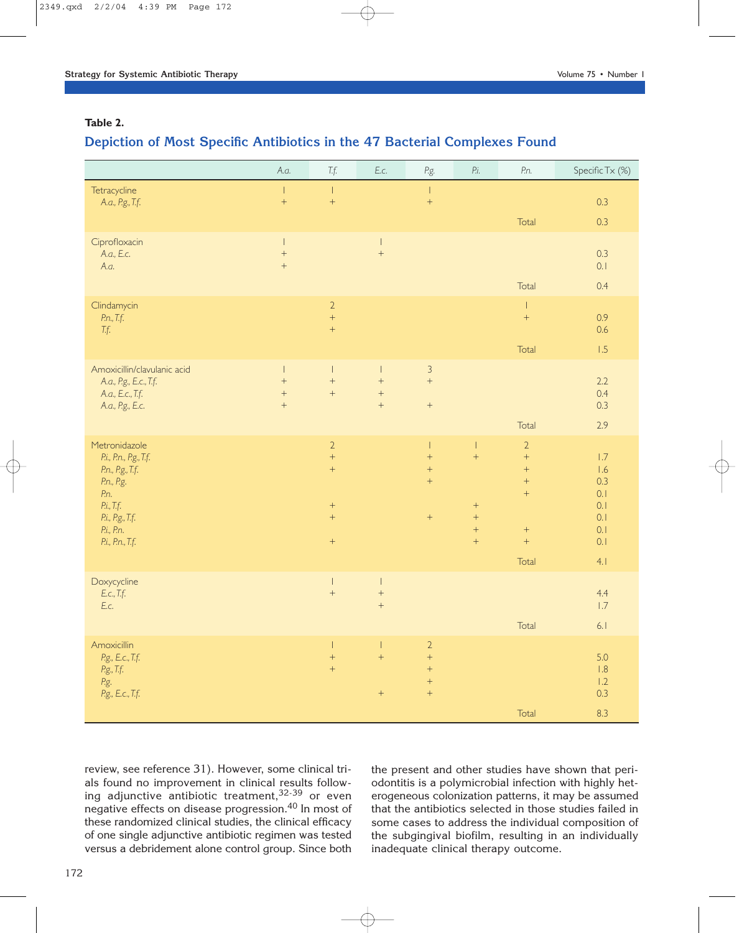## **Table 2.**

## **Depiction of Most Specific Antibiotics in the 47 Bacterial Complexes Found**

|                                                                                                                                                       | A.a.                               | $\mathcal{T}.f.$                                                                    | E.c.                                                               | P.g.                                                                                                | $\mathit{Pi}.$                                                                       | P.n.                                                                                                           | Specific Tx (%)                                             |
|-------------------------------------------------------------------------------------------------------------------------------------------------------|------------------------------------|-------------------------------------------------------------------------------------|--------------------------------------------------------------------|-----------------------------------------------------------------------------------------------------|--------------------------------------------------------------------------------------|----------------------------------------------------------------------------------------------------------------|-------------------------------------------------------------|
| Tetracycline<br>A.a., P.g., T.f.                                                                                                                      | $\mathsf{L}$<br>$\ddot{}$          | $\mathsf I$<br>$\ddot{}$                                                            |                                                                    | $\mathsf I$<br>$\qquad \qquad +$                                                                    |                                                                                      | Total                                                                                                          | 0.3<br>0.3                                                  |
| Ciprofloxacin<br>A.a., E.c.<br>A.a.                                                                                                                   | $\vert$<br>$\ddag$<br>$\bar{+}$    |                                                                                     | $\boldsymbol{\parallel}$<br>$\qquad \qquad +$                      |                                                                                                     |                                                                                      | Total                                                                                                          | 0.3<br>0.1<br>0.4                                           |
| Clindamycin<br>P.n., T.f.<br>T.f.                                                                                                                     |                                    | $\overline{2}$<br>$\qquad \qquad +$<br>$\ddot{}$                                    |                                                                    |                                                                                                     |                                                                                      | $\overline{\phantom{a}}$<br>$\ddot{}$<br>Total                                                                 | 0.9<br>0.6<br>1.5                                           |
| Amoxicillin/clavulanic acid<br>A.a., P.g., E.c., T.f.<br>A.a., E.c., T.f.<br>A.a., P.g., E.c.                                                         | $\vert$<br>$+$<br>$\bar{+}$<br>$+$ | $\vert$<br>$\boldsymbol{+}$<br>$\dot{+}$                                            | $\vert$<br>$\qquad \qquad +$<br>$\qquad \qquad +$<br>$\bar{+}$     | $\mathfrak{Z}$<br>$^{+}$<br>$\boldsymbol{+}$                                                        |                                                                                      | Total                                                                                                          | 2.2<br>0.4<br>0.3<br>2.9                                    |
| Metronidazole<br>P.i., P.n., P.g., T.f.<br>P.n., P.g., T.f.<br>P.n., P.g.<br>P.n.<br>P.i., T.f.<br>P.i., P.g., T.f.<br>P.i., P.n.<br>P.i., P.n., T.f. |                                    | $\sqrt{2}$<br>$\ddot{}$<br>$+$<br>$\boldsymbol{+}$<br>$\bar{+}$<br>$\boldsymbol{+}$ |                                                                    | $\overline{\phantom{a}}$<br>$\qquad \qquad +$<br>$\qquad \qquad +$<br>$\ddot{}$<br>$\boldsymbol{+}$ | $\overline{1}$<br>$\pm$<br>$\boldsymbol{+}$<br>$\ddot{}$<br>$+$<br>$\qquad \qquad +$ | $\overline{2}$<br>$\ddot{}$<br>$\boldsymbol{+}$<br>$\ddot{}$<br>$\boldsymbol{+}$<br>$^+$<br>$\ddot{}$<br>Total | 1.7<br>1.6<br>0.3<br>0.1<br>0.1<br>0.1<br>0.1<br>0.1<br>4.1 |
| Doxycycline<br>E.c., T.f.<br>E.c.                                                                                                                     |                                    | $\vert$<br>$\ddot{}$                                                                | $\boldsymbol{\parallel}$<br>$\qquad \qquad +$<br>$\qquad \qquad +$ |                                                                                                     |                                                                                      | Total                                                                                                          | 4.4<br>1.7<br>6.1                                           |
| Amoxicillin<br>P.g., E.c., T.f.<br>P.g., T.f.<br>P.g.<br>P.g., E.c., T.f.                                                                             |                                    | T<br>$\ddot{}$<br>$\bar{+}$                                                         | $\mathbf{I}$<br>$\bar{+}$<br>$\boldsymbol{+}$                      | $\overline{2}$<br>$\qquad \qquad +$<br>$\qquad \qquad +$<br>$\qquad \qquad +$<br>$^{+}$             |                                                                                      | Total                                                                                                          | 5.0<br>1.8<br>1.2<br>0.3<br>8.3                             |

review, see reference 31). However, some clinical trials found no improvement in clinical results following adjunctive antibiotic treatment,  $32-39$  or even negative effects on disease progression.<sup>40</sup> In most of these randomized clinical studies, the clinical efficacy of one single adjunctive antibiotic regimen was tested versus a debridement alone control group. Since both

the present and other studies have shown that periodontitis is a polymicrobial infection with highly heterogeneous colonization patterns, it may be assumed that the antibiotics selected in those studies failed in some cases to address the individual composition of the subgingival biofilm, resulting in an individually inadequate clinical therapy outcome.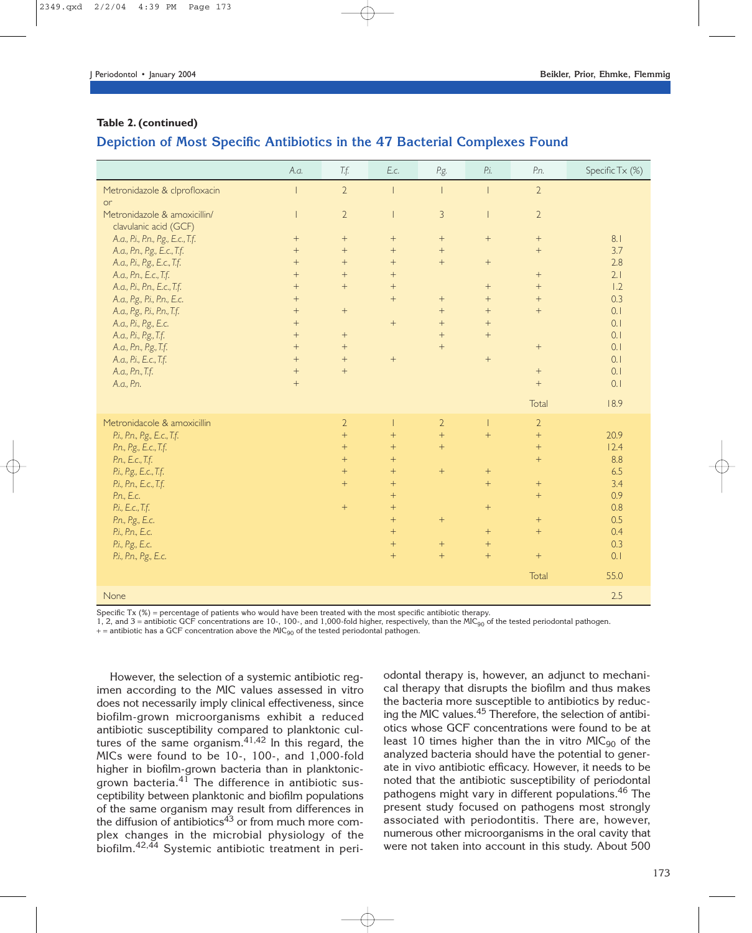## **Table 2. (continued)**

## **Depiction of Most Specific Antibiotics in the 47 Bacterial Complexes Found**

|                                    | A.a.             | T.f.             | E.c.            | P.g.                     | P.i.                     | P.n.             | Specific Tx (%) |
|------------------------------------|------------------|------------------|-----------------|--------------------------|--------------------------|------------------|-----------------|
| Metronidazole & clprofloxacin      |                  | $\overline{2}$   |                 | $\overline{\phantom{a}}$ | $\overline{\phantom{a}}$ | $\overline{2}$   |                 |
| or                                 |                  |                  |                 |                          |                          |                  |                 |
| Metronidazole & amoxicillin/       |                  | $\overline{2}$   |                 | $\overline{3}$           |                          | $\overline{2}$   |                 |
| clavulanic acid (GCF)              |                  |                  |                 |                          |                          |                  |                 |
| A.a., P.i., P.n., P.g., E.c., T.f. | $+$              | $\boldsymbol{+}$ | $^{+}$          | $\boldsymbol{+}$         | $\! + \!\!\!\!$          | $+$              | 8.1             |
| A.a., P.n., P.g., E.c., T.f.       | $+$              | $+$              | $+$             | $+$                      |                          | $+$              | 3.7             |
| A.a., P.i., P.g., E.c., T.f.       | $+$              | $+$              | $+$             | $+$                      | $\! + \!\!\!\!$          |                  | 2.8             |
| A.a., P.n., E.c., T.f.             | $+$              | $+$              | $+$             |                          |                          | $+$              | 2.1             |
| A.a., P.i., P.n., E.c., T.f.       | $+$              | $+$              | $+$             |                          | $^{+}$                   | $+$              | 1.2             |
| A.a., P.g., P.i., P.n., E.c.       | $+$              |                  | $+$             |                          | $+$                      | $+$              | 0.3             |
| A.a., P.g., P.i., P.n., T.f.       | $+$              | $\boldsymbol{+}$ |                 | $+$                      | $+$                      | $+$              | 0.1             |
| A.a., P.i., P.g., E.c.             | $+$              |                  | $^{+}$          | $+$                      |                          |                  | 0.1             |
| A.a., P.i., P.g., T.f.             | $+$              | $+$              |                 | $+$                      | $+$                      |                  | 0.1             |
| A.a., P.n., P.g., T.f.             | $+$              | $+$              |                 | $+$                      |                          | $\boldsymbol{+}$ | 0.1             |
| A.a., P.i., E.c., T.f.             | $+$              | $+$              | $^{+}$          |                          | $\! + \!\!\!\!$          |                  | 0.1             |
| A.a., P.n., T.f.                   | $+$              | $+$              |                 |                          |                          | $+$              | 0.1             |
| A.a., P.n.                         | $\boldsymbol{+}$ |                  |                 |                          |                          | $+$              | 0.1             |
|                                    |                  |                  |                 |                          |                          | Total            | 18.9            |
| Metronidacole & amoxicillin        |                  | $\overline{2}$   |                 | $\overline{2}$           |                          | $\overline{2}$   |                 |
| P.i., P.n., P.g., E.c., T.f.       |                  | $+$              | $+$             | $+$                      | $+$                      | $+$              | 20.9            |
| P.n., P.g., E.c., T.f.             |                  | $+$              | $+$             | $+$                      |                          | $+$              | 12.4            |
| P.n., E.c., T.f.                   |                  | $+$              | $+$             |                          |                          | $+$              | 8.8             |
| P.i., P.g., E.c., T.f.             |                  | $+$              | $+$             | $\boldsymbol{+}$         | $\boldsymbol{+}$         |                  | 6.5             |
| P.i., P.n., E.c., T.f.             |                  | $+$              | $\ddot{}$       |                          | $+$                      | $+$              | 3.4             |
| P.n., E.c.                         |                  |                  | $+$             |                          |                          | $+$              | 0.9             |
| P.i., E.c., T.f.                   |                  | $+$              | $+$             |                          | $\boldsymbol{+}$         |                  | 0.8             |
| P.n., P.g., E.c.                   |                  |                  | $\ddot{}$       | $+$                      |                          | $+$              | 0.5             |
| P.i., P.n., E.c.                   |                  |                  | $\ddot{}$       |                          | $+$                      | $+$              | 0.4             |
| P.i., P.g., E.c.                   |                  |                  | $\! + \!\!\!\!$ | $\boldsymbol{+}$         | $+$                      |                  | 0.3             |
| P.i., P.n., P.g., E.c.             |                  |                  | $+$             | $+$                      | $+$                      | $+$              | 0.1             |
|                                    |                  |                  |                 |                          |                          |                  |                 |
|                                    |                  |                  |                 |                          |                          | Total            | 55.0            |
| None                               |                  |                  |                 |                          |                          |                  | 2.5             |

Specific Tx (%) = percentage of patients who would have been treated with the most specific antibiotic therapy.

1, 2, and  $3$  = antibiotic GCF concentrations are 10-, 100-, and 1,000-fold higher, respectively, than the MIC<sub>90</sub> of the tested periodontal pathogen.

 $+=$  antibiotic has a GCF concentration above the MIC<sub>90</sub> of the tested periodontal pathogen.

However, the selection of a systemic antibiotic regimen according to the MIC values assessed in vitro does not necessarily imply clinical effectiveness, since biofilm-grown microorganisms exhibit a reduced antibiotic susceptibility compared to planktonic cultures of the same organism. $41,42$  In this regard, the MICs were found to be 10-, 100-, and 1,000-fold higher in biofilm-grown bacteria than in planktonicgrown bacteria. $41$  The difference in antibiotic susceptibility between planktonic and biofilm populations of the same organism may result from differences in the diffusion of antibiotics $^{43}$  or from much more complex changes in the microbial physiology of the biofilm.42,44 Systemic antibiotic treatment in periodontal therapy is, however, an adjunct to mechanical therapy that disrupts the biofilm and thus makes the bacteria more susceptible to antibiotics by reducing the MIC values.45 Therefore, the selection of antibiotics whose GCF concentrations were found to be at least 10 times higher than the in vitro  $MIC<sub>90</sub>$  of the analyzed bacteria should have the potential to generate in vivo antibiotic efficacy. However, it needs to be noted that the antibiotic susceptibility of periodontal pathogens might vary in different populations.<sup>46</sup> The present study focused on pathogens most strongly associated with periodontitis. There are, however, numerous other microorganisms in the oral cavity that were not taken into account in this study. About 500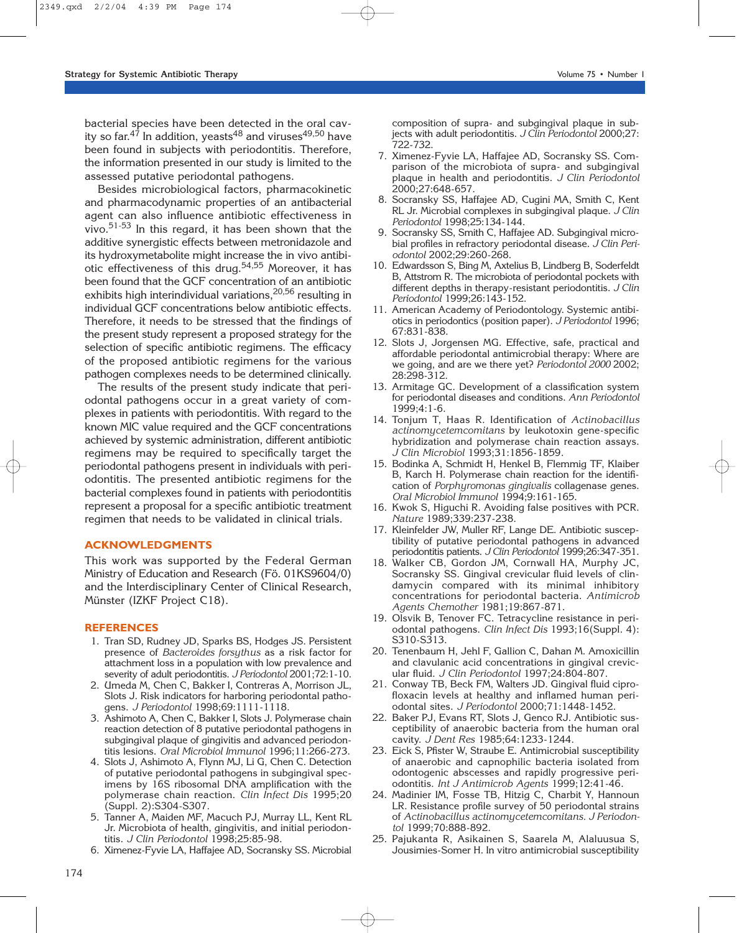bacterial species have been detected in the oral cavity so far.<sup>47</sup> In addition, yeasts<sup>48</sup> and viruses<sup>49,50</sup> have been found in subjects with periodontitis. Therefore, the information presented in our study is limited to the assessed putative periodontal pathogens.

Besides microbiological factors, pharmacokinetic and pharmacodynamic properties of an antibacterial agent can also influence antibiotic effectiveness in vivo.<sup>51-53</sup> In this regard, it has been shown that the additive synergistic effects between metronidazole and its hydroxymetabolite might increase the in vivo antibiotic effectiveness of this drug.<sup>54,55</sup> Moreover, it has been found that the GCF concentration of an antibiotic exhibits high interindividual variations,<sup>20,56</sup> resulting in individual GCF concentrations below antibiotic effects. Therefore, it needs to be stressed that the findings of the present study represent a proposed strategy for the selection of specific antibiotic regimens. The efficacy of the proposed antibiotic regimens for the various pathogen complexes needs to be determined clinically.

The results of the present study indicate that periodontal pathogens occur in a great variety of complexes in patients with periodontitis. With regard to the known MIC value required and the GCF concentrations achieved by systemic administration, different antibiotic regimens may be required to specifically target the periodontal pathogens present in individuals with periodontitis. The presented antibiotic regimens for the bacterial complexes found in patients with periodontitis represent a proposal for a specific antibiotic treatment regimen that needs to be validated in clinical trials.

### **ACKNOWLEDGMENTS**

This work was supported by the Federal German Ministry of Education and Research (Fö. 01KS9604/0) and the Interdisciplinary Center of Clinical Research, Münster (IZKF Project C18).

#### **REFERENCES**

- 1. Tran SD, Rudney JD, Sparks BS, Hodges JS. Persistent presence of *Bacteroides forsythus* as a risk factor for attachment loss in a population with low prevalence and severity of adult periodontitis. *J Periodontol* 2001;72:1-10.
- 2. Umeda M, Chen C, Bakker I, Contreras A, Morrison JL, Slots J. Risk indicators for harboring periodontal pathogens. *J Periodontol* 1998;69:1111-1118.
- 3. Ashimoto A, Chen C, Bakker I, Slots J. Polymerase chain reaction detection of 8 putative periodontal pathogens in subgingival plaque of gingivitis and advanced periodontitis lesions. *Oral Microbiol Immunol* 1996;11:266-273.
- 4. Slots J, Ashimoto A, Flynn MJ, Li G, Chen C. Detection of putative periodontal pathogens in subgingival specimens by 16S ribosomal DNA amplification with the polymerase chain reaction. *Clin Infect Dis* 1995;20 (Suppl. 2):S304-S307.
- 5. Tanner A, Maiden MF, Macuch PJ, Murray LL, Kent RL Jr. Microbiota of health, gingivitis, and initial periodontitis. *J Clin Periodontol* 1998;25:85-98.
- 6. Ximenez-Fyvie LA, Haffajee AD, Socransky SS. Microbial

composition of supra- and subgingival plaque in subjects with adult periodontitis. *J Clin Periodontol* 2000;27: 722-732.

- 7. Ximenez-Fyvie LA, Haffajee AD, Socransky SS. Comparison of the microbiota of supra- and subgingival plaque in health and periodontitis. *J Clin Periodontol* 2000;27:648-657.
- 8. Socransky SS, Haffajee AD, Cugini MA, Smith C, Kent RL Jr. Microbial complexes in subgingival plaque. *J Clin Periodontol* 1998;25:134-144.
- 9. Socransky SS, Smith C, Haffajee AD. Subgingival microbial profiles in refractory periodontal disease. *J Clin Periodontol* 2002;29:260-268.
- 10. Edwardsson S, Bing M, Axtelius B, Lindberg B, Soderfeldt B, Attstrom R. The microbiota of periodontal pockets with different depths in therapy-resistant periodontitis. *J Clin Periodontol* 1999;26:143-152.
- 11. American Academy of Periodontology. Systemic antibiotics in periodontics (position paper). *J Periodontol* 1996; 67:831-838.
- 12. Slots J, Jorgensen MG. Effective, safe, practical and affordable periodontal antimicrobial therapy: Where are we going, and are we there yet? *Periodontol 2000* 2002; 28:298-312.
- 13. Armitage GC. Development of a classification system for periodontal diseases and conditions. *Ann Periodontol* 1999;4:1-6.
- 14. Tonjum T, Haas R. Identification of *Actinobacillus actinomycetemcomitans* by leukotoxin gene-specific hybridization and polymerase chain reaction assays. *J Clin Microbiol* 1993;31:1856-1859.
- 15. Bodinka A, Schmidt H, Henkel B, Flemmig TF, Klaiber B, Karch H. Polymerase chain reaction for the identification of *Porphyromonas gingivalis* collagenase genes. *Oral Microbiol Immunol* 1994;9:161-165.
- 16. Kwok S, Higuchi R. Avoiding false positives with PCR. *Nature* 1989;339:237-238.
- 17. Kleinfelder JW, Muller RF, Lange DE. Antibiotic susceptibility of putative periodontal pathogens in advanced periodontitis patients. *J Clin Periodontol* 1999;26:347-351.
- 18. Walker CB, Gordon JM, Cornwall HA, Murphy JC, Socransky SS. Gingival crevicular fluid levels of clindamycin compared with its minimal inhibitory concentrations for periodontal bacteria. *Antimicrob Agents Chemother* 1981;19:867-871.
- 19. Olsvik B, Tenover FC. Tetracycline resistance in periodontal pathogens. *Clin Infect Dis* 1993;16(Suppl. 4): S310-S313.
- 20. Tenenbaum H, Jehl F, Gallion C, Dahan M. Amoxicillin and clavulanic acid concentrations in gingival crevicular fluid. *J Clin Periodontol* 1997;24:804-807.
- 21. Conway TB, Beck FM, Walters JD. Gingival fluid ciprofloxacin levels at healthy and inflamed human periodontal sites. *J Periodontol* 2000;71:1448-1452.
- 22. Baker PJ, Evans RT, Slots J, Genco RJ. Antibiotic susceptibility of anaerobic bacteria from the human oral cavity. *J Dent Res* 1985;64:1233-1244.
- 23. Eick S, Pfister W, Straube E. Antimicrobial susceptibility of anaerobic and capnophilic bacteria isolated from odontogenic abscesses and rapidly progressive periodontitis. *Int J Antimicrob Agents* 1999;12:41-46.
- 24. Madinier IM, Fosse TB, Hitzig C, Charbit Y, Hannoun LR. Resistance profile survey of 50 periodontal strains of *Actinobacillus actinomycetemcomitans. J Periodontol* 1999;70:888-892.
- 25. Pajukanta R, Asikainen S, Saarela M, Alaluusua S, Jousimies-Somer H. In vitro antimicrobial susceptibility